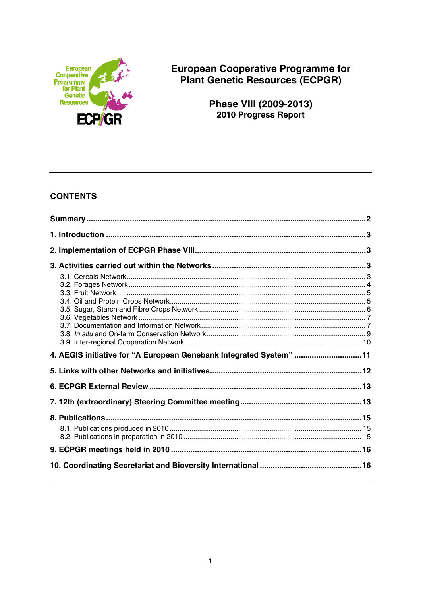

**European Cooperative Programme for** Plant Genetic Resources (ECPGR)

> Phase VIII (2009-2013) 2010 Progress Report

# **CONTENTS**

| 4. AEGIS initiative for "A European Genebank Integrated System" 11 |  |
|--------------------------------------------------------------------|--|
|                                                                    |  |
|                                                                    |  |
|                                                                    |  |
|                                                                    |  |
|                                                                    |  |
|                                                                    |  |
|                                                                    |  |
|                                                                    |  |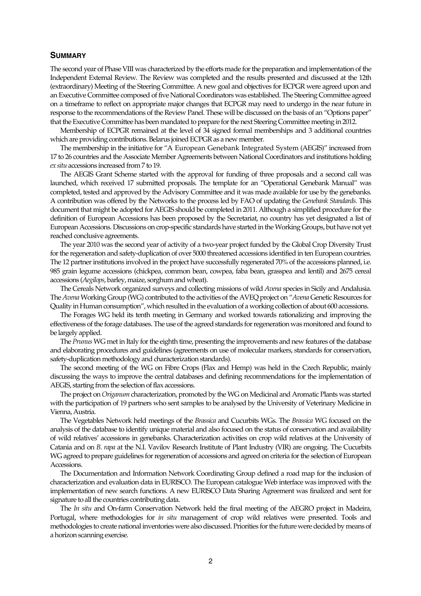#### **SUMMARY**

The second year of Phase VIII was characterized by the efforts made for the preparation and implementation of the Independent External Review. The Review was completed and the results presented and discussed at the 12th (extraordinary) Meeting of the Steering Committee. A new goal and objectives for ECPGR were agreed upon and an Executive Committee composed of five National Coordinators was established. The Steering Committee agreed on a timeframe to reflect on appropriate major changes that ECPGR may need to undergo in the near future in response to the recommendations of the Review Panel. These will be discussed on the basis of an "Options paper" that the Executive Committee has been mandated to prepare for the next Steering Committee meeting in 2012.

 Membership of ECPGR remained at the level of 34 signed formal memberships and 3 additional countries which are providing contributions. Belarus joined ECPGR as a new member.

 The membership in the initiative for "A European Genebank Integrated System (AEGIS)" increased from 17 to 26 countries and the Associate Member Agreements between National Coordinators and institutions holding *ex situ* accessions increased from 7 to 19.

 The AEGIS Grant Scheme started with the approval for funding of three proposals and a second call was launched, which received 17 submitted proposals. The template for an "Operational Genebank Manual" was completed, tested and approved by the Advisory Committee and it was made available for use by the genebanks. A contribution was offered by the Networks to the process led by FAO of updating the *Genebank Standards.* This document that might be adopted for AEGIS should be completed in 2011. Although a simplified procedure for the definition of European Accessions has been proposed by the Secretariat, no country has yet designated a list of European Accessions. Discussions on crop-specific standards have started in the Working Groups, but have not yet reached conclusive agreements.

 The year 2010 was the second year of activity of a two-year project funded by the Global Crop Diversity Trust for the regeneration and safety-duplication of over 5000 threatened accessions identified in ten European countries. The 12 partner institutions involved in the project have successfully regenerated 70% of the accessions planned, i.e. 985 grain legume accessions (chickpea, common bean, cowpea, faba bean, grasspea and lentil) and 2675 cereal accessions (*Aegilops*, barley, maize, sorghum and wheat).

 The Cereals Network organized surveys and collecting missions of wild *Avena* species in Sicily and Andalusia. The *Avena* Working Group (WG) contributed to the activities of the AVEQ project on "*Avena* Genetic Resources for Quality in Human consumption", which resulted in the evaluation of a working collection of about 600 accessions.

 The Forages WG held its tenth meeting in Germany and worked towards rationalizing and improving the effectiveness of the forage databases. The use of the agreed standards for regeneration was monitored and found to be largely applied.

 The *Prunus* WG met in Italy for the eighth time, presenting the improvements and new features of the database and elaborating procedures and guidelines (agreements on use of molecular markers, standards for conservation, safety-duplication methodology and characterization standards).

 The second meeting of the WG on Fibre Crops (Flax and Hemp) was held in the Czech Republic, mainly discussing the ways to improve the central databases and defining recommendations for the implementation of AEGIS, starting from the selection of flax accessions.

 The project on *Origanum* characterization, promoted by the WG on Medicinal and Aromatic Plants was started with the participation of 19 partners who sent samples to be analysed by the University of Veterinary Medicine in Vienna, Austria.

 The Vegetables Network held meetings of the *Brassica* and Cucurbits WGs. The *Brassica* WG focused on the analysis of the database to identify unique material and also focused on the status of conservation and availability of wild relatives' accessions in genebanks. Characterization activities on crop wild relatives at the University of Catania and on *B. rapa* at the N.I. Vavilov Research Institute of Plant Industry (VIR) are ongoing. The Cucurbits WG agreed to prepare guidelines for regeneration of accessions and agreed on criteria for the selection of European Accessions.

 The Documentation and Information Network Coordinating Group defined a road map for the inclusion of characterization and evaluation data in EURISCO. The European catalogue Web interface was improved with the implementation of new search functions. A new EURISCO Data Sharing Agreement was finalized and sent for signature to all the countries contributing data.

 The *In situ* and On-farm Conservation Network held the final meeting of the AEGRO project in Madeira, Portugal, where methodologies for *in situ* management of crop wild relatives were presented. Tools and methodologies to create national inventories were also discussed. Priorities for the future were decided by means of a horizon scanning exercise.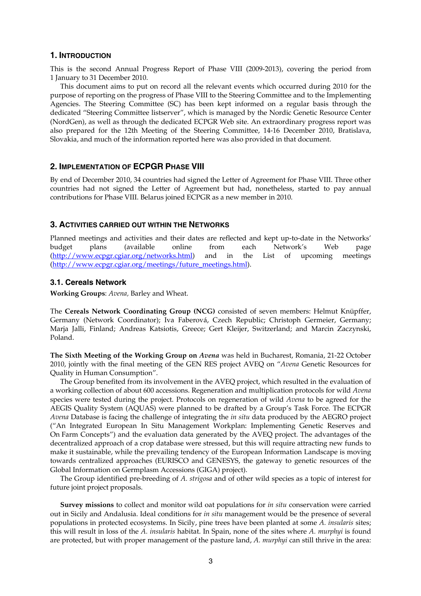#### **1. INTRODUCTION**

This is the second Annual Progress Report of Phase VIII (2009-2013), covering the period from 1 January to 31 December 2010.

 This document aims to put on record all the relevant events which occurred during 2010 for the purpose of reporting on the progress of Phase VIII to the Steering Committee and to the Implementing Agencies. The Steering Committee (SC) has been kept informed on a regular basis through the dedicated "Steering Committee listserver", which is managed by the Nordic Genetic Resource Center (NordGen), as well as through the dedicated ECPGR Web site. An extraordinary progress report was also prepared for the 12th Meeting of the Steering Committee, 14-16 December 2010, Bratislava, Slovakia, and much of the information reported here was also provided in that document.

## **2. IMPLEMENTATION OF ECPGR PHASE VIII**

By end of December 2010, 34 countries had signed the Letter of Agreement for Phase VIII. Three other countries had not signed the Letter of Agreement but had, nonetheless, started to pay annual contributions for Phase VIII. Belarus joined ECPGR as a new member in 2010.

## **3. ACTIVITIES CARRIED OUT WITHIN THE NETWORKS**

Planned meetings and activities and their dates are reflected and kept up-to-date in the Networks' budget plans (available online from each Network's Web page (http://www.ecpgr.cgiar.org/networks.html) and in the List of upcoming meetings (http://www.ecpgr.cgiar.org/meetings/future\_meetings.html).

## **3.1. Cereals Network**

**Working Groups**: *Avena,* Barley and Wheat.

The **Cereals Network Coordinating Group (NCG)** consisted of seven members: Helmut Knüpffer, Germany (Network Coordinator); Iva Faberová, Czech Republic; Christoph Germeier, Germany; Marja Jalli, Finland; Andreas Katsiotis, Greece; Gert Kleijer, Switzerland; and Marcin Zaczynski, Poland.

**The Sixth Meeting of the Working Group on** *Avena* was held in Bucharest, Romania, 21-22 October 2010, jointly with the final meeting of the GEN RES project AVEQ on "*Avena* Genetic Resources for Quality in Human Consumption".

 The Group benefited from its involvement in the AVEQ project, which resulted in the evaluation of a working collection of about 600 accessions. Regeneration and multiplication protocols for wild *Avena* species were tested during the project. Protocols on regeneration of wild *Avena* to be agreed for the AEGIS Quality System (AQUAS) were planned to be drafted by a Group's Task Force. The ECPGR *Avena* Database is facing the challenge of integrating the *in situ* data produced by the AEGRO project ("An Integrated European In Situ Management Workplan: Implementing Genetic Reserves and On Farm Concepts") and the evaluation data generated by the AVEQ project. The advantages of the decentralized approach of a crop database were stressed, but this will require attracting new funds to make it sustainable, while the prevailing tendency of the European Information Landscape is moving towards centralized approaches (EURISCO and GENESYS, the gateway to genetic resources of the Global Information on Germplasm Accessions (GIGA) project).

 The Group identified pre-breeding of *A. strigosa* and of other wild species as a topic of interest for future joint project proposals.

 **Survey missions** to collect and monitor wild oat populations for *in situ* conservation were carried out in Sicily and Andalusia. Ideal conditions for *in situ* management would be the presence of several populations in protected ecosystems. In Sicily, pine trees have been planted at some *A. insularis* sites; this will result in loss of the *A. insularis* habitat. In Spain, none of the sites where *A. murphyi* is found are protected, but with proper management of the pasture land, *A. murphyi* can still thrive in the area: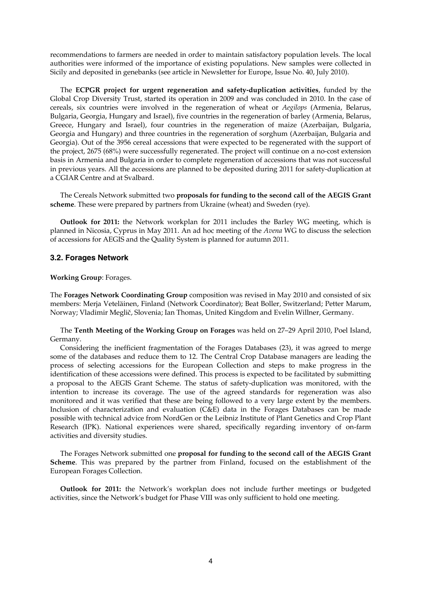recommendations to farmers are needed in order to maintain satisfactory population levels. The local authorities were informed of the importance of existing populations. New samples were collected in Sicily and deposited in genebanks (see article in Newsletter for Europe, Issue No. 40, July 2010).

The **ECPGR project for urgent regeneration and safety-duplication activities**, funded by the Global Crop Diversity Trust, started its operation in 2009 and was concluded in 2010. In the case of cereals, six countries were involved in the regeneration of wheat or *Aegilops* (Armenia, Belarus, Bulgaria, Georgia, Hungary and Israel), five countries in the regeneration of barley (Armenia, Belarus, Greece, Hungary and Israel), four countries in the regeneration of maize (Azerbaijan, Bulgaria, Georgia and Hungary) and three countries in the regeneration of sorghum (Azerbaijan, Bulgaria and Georgia). Out of the 3956 cereal accessions that were expected to be regenerated with the support of the project, 2675 (68%) were successfully regenerated. The project will continue on a no-cost extension basis in Armenia and Bulgaria in order to complete regeneration of accessions that was not successful in previous years. All the accessions are planned to be deposited during 2011 for safety-duplication at a CGIAR Centre and at Svalbard.

 The Cereals Network submitted two **proposals for funding to the second call of the AEGIS Grant scheme**. These were prepared by partners from Ukraine (wheat) and Sweden (rye).

 **Outlook for 2011:** the Network workplan for 2011 includes the Barley WG meeting, which is planned in Nicosia, Cyprus in May 2011. An ad hoc meeting of the *Avena* WG to discuss the selection of accessions for AEGIS and the Quality System is planned for autumn 2011.

#### **3.2. Forages Network**

#### **Working Group**: Forages.

The **Forages Network Coordinating Group** composition was revised in May 2010 and consisted of six members: Merja Veteläinen, Finland (Network Coordinator); Beat Boller, Switzerland; Petter Marum, Norway; Vladimir Meglič, Slovenia; Ian Thomas, United Kingdom and Evelin Willner, Germany.

 The **Tenth Meeting of the Working Group on Forages** was held on 27–29 April 2010, Poel Island, Germany.

 Considering the inefficient fragmentation of the Forages Databases (23), it was agreed to merge some of the databases and reduce them to 12. The Central Crop Database managers are leading the process of selecting accessions for the European Collection and steps to make progress in the identification of these accessions were defined. This process is expected to be facilitated by submitting a proposal to the AEGIS Grant Scheme. The status of safety-duplication was monitored, with the intention to increase its coverage. The use of the agreed standards for regeneration was also monitored and it was verified that these are being followed to a very large extent by the members. Inclusion of characterization and evaluation (C&E) data in the Forages Databases can be made possible with technical advice from NordGen or the Leibniz Institute of Plant Genetics and Crop Plant Research (IPK). National experiences were shared, specifically regarding inventory of on-farm activities and diversity studies.

 The Forages Network submitted one **proposal for funding to the second call of the AEGIS Grant Scheme**. This was prepared by the partner from Finland, focused on the establishment of the European Forages Collection.

 **Outlook for 2011:** the Network's workplan does not include further meetings or budgeted activities, since the Network's budget for Phase VIII was only sufficient to hold one meeting.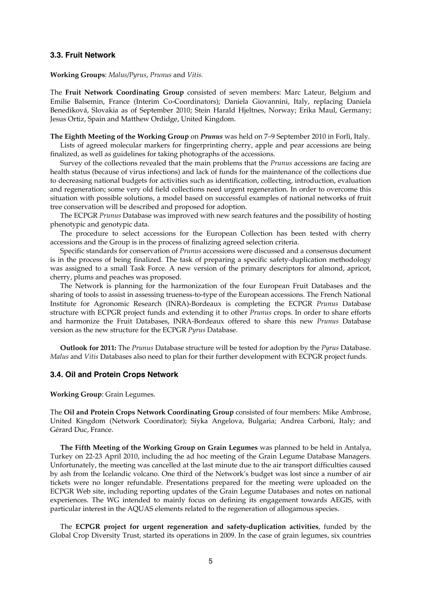#### **3.3. Fruit Network**

**Working Groups**: *Malus/Pyrus*, *Prunus* and *Vitis.*

The **Fruit Network Coordinating Group** consisted of seven members: Marc Lateur, Belgium and Emilie Balsemin, France (Interim Co-Coordinators); Daniela Giovannini, Italy, replacing Daniela Benediková, Slovakia as of September 2010; Stein Harald Hjeltnes, Norway; Erika Maul, Germany; Jesus Ortiz, Spain and Matthew Ordidge, United Kingdom.

**The Eighth Meeting of the Working Group** on *Prunus* was held on 7–9 September 2010 in Forlì, Italy. Lists of agreed molecular markers for fingerprinting cherry, apple and pear accessions are being finalized, as well as guidelines for taking photographs of the accessions.

Survey of the collections revealed that the main problems that the *Prunus* accessions are facing are health status (because of virus infections) and lack of funds for the maintenance of the collections due to decreasing national budgets for activities such as identification, collecting, introduction, evaluation and regeneration; some very old field collections need urgent regeneration. In order to overcome this situation with possible solutions, a model based on successful examples of national networks of fruit tree conservation will be described and proposed for adoption.

 The ECPGR *Prunus* Database was improved with new search features and the possibility of hosting phenotypic and genotypic data.

 The procedure to select accessions for the European Collection has been tested with cherry accessions and the Group is in the process of finalizing agreed selection criteria.

 Specific standards for conservation of *Prunus* accessions were discussed and a consensus document is in the process of being finalized. The task of preparing a specific safety-duplication methodology was assigned to a small Task Force. A new version of the primary descriptors for almond, apricot, cherry, plums and peaches was proposed.

The Network is planning for the harmonization of the four European Fruit Databases and the sharing of tools to assist in assessing trueness-to-type of the European accessions. The French National Institute for Agronomic Research (INRA)-Bordeaux is completing the ECPGR *Prunus* Database structure with ECPGR project funds and extending it to other *Prunus* crops. In order to share efforts and harmonize the Fruit Databases, INRA-Bordeaux offered to share this new *Prunus* Database version as the new structure for the ECPGR *Pyrus* Database.

 **Outlook for 2011:** The *Prunus* Database structure will be tested for adoption by the *Pyrus* Database. *Malus* and *Vitis* Databases also need to plan for their further development with ECPGR project funds.

#### **3.4. Oil and Protein Crops Network**

**Working Group**: Grain Legumes.

The **Oil and Protein Crops Network Coordinating Group** consisted of four members: Mike Ambrose, United Kingdom (Network Coordinator); Siyka Angelova, Bulgaria; Andrea Carboni, Italy; and Gérard Duc, France.

 **The Fifth Meeting of the Working Group on Grain Legumes** was planned to be held in Antalya, Turkey on 22-23 April 2010, including the ad hoc meeting of the Grain Legume Database Managers. Unfortunately, the meeting was cancelled at the last minute due to the air transport difficulties caused by ash from the Icelandic volcano. One third of the Network's budget was lost since a number of air tickets were no longer refundable. Presentations prepared for the meeting were uploaded on the ECPGR Web site, including reporting updates of the Grain Legume Databases and notes on national experiences. The WG intended to mainly focus on defining its engagement towards AEGIS, with particular interest in the AQUAS elements related to the regeneration of allogamous species.

 The **ECPGR project for urgent regeneration and safety-duplication activities**, funded by the Global Crop Diversity Trust, started its operations in 2009. In the case of grain legumes, six countries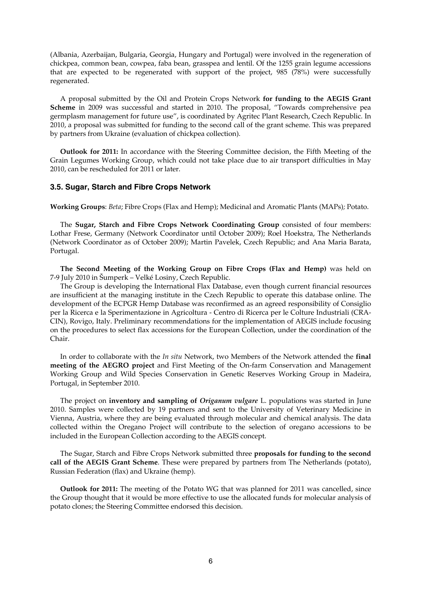(Albania, Azerbaijan, Bulgaria, Georgia, Hungary and Portugal) were involved in the regeneration of chickpea, common bean, cowpea, faba bean, grasspea and lentil. Of the 1255 grain legume accessions that are expected to be regenerated with support of the project, 985 (78%) were successfully regenerated.

 A proposal submitted by the Oil and Protein Crops Network **for funding to the AEGIS Grant Scheme** in 2009 was successful and started in 2010. The proposal, "Towards comprehensive pea germplasm management for future use", is coordinated by Agritec Plant Research, Czech Republic. In 2010, a proposal was submitted for funding to the second call of the grant scheme. This was prepared by partners from Ukraine (evaluation of chickpea collection).

 **Outlook for 2011:** In accordance with the Steering Committee decision, the Fifth Meeting of the Grain Legumes Working Group, which could not take place due to air transport difficulties in May 2010, can be rescheduled for 2011 or later.

#### **3.5. Sugar, Starch and Fibre Crops Network**

**Working Groups**: *Beta*; Fibre Crops (Flax and Hemp); Medicinal and Aromatic Plants (MAPs)*;* Potato.

 The **Sugar, Starch and Fibre Crops Network Coordinating Group** consisted of four members: Lothar Frese, Germany (Network Coordinator until October 2009); Roel Hoekstra, The Netherlands (Network Coordinator as of October 2009); Martin Pavelek, Czech Republic; and Ana Maria Barata, Portugal.

 **The Second Meeting of the Working Group on Fibre Crops (Flax and Hemp)** was held on 7-9 July 2010 in Šumperk – Velké Losiny, Czech Republic.

 The Group is developing the International Flax Database, even though current financial resources are insufficient at the managing institute in the Czech Republic to operate this database online. The development of the ECPGR Hemp Database was reconfirmed as an agreed responsibility of Consiglio per la Ricerca e la Sperimentazione in Agricoltura - Centro di Ricerca per le Colture Industriali (CRA-CIN), Rovigo, Italy. Preliminary recommendations for the implementation of AEGIS include focusing on the procedures to select flax accessions for the European Collection, under the coordination of the Chair.

 In order to collaborate with the *In situ* Network, two Members of the Network attended the **final meeting of the AEGRO project** and First Meeting of the On-farm Conservation and Management Working Group and Wild Species Conservation in Genetic Reserves Working Group in Madeira, Portugal, in September 2010.

The project on **inventory and sampling of** *Origanum vulgare* L. populations was started in June 2010. Samples were collected by 19 partners and sent to the University of Veterinary Medicine in Vienna, Austria, where they are being evaluated through molecular and chemical analysis. The data collected within the Oregano Project will contribute to the selection of oregano accessions to be included in the European Collection according to the AEGIS concept.

 The Sugar, Starch and Fibre Crops Network submitted three **proposals for funding to the second call of the AEGIS Grant Scheme**. These were prepared by partners from The Netherlands (potato), Russian Federation (flax) and Ukraine (hemp).

 **Outlook for 2011:** The meeting of the Potato WG that was planned for 2011 was cancelled, since the Group thought that it would be more effective to use the allocated funds for molecular analysis of potato clones; the Steering Committee endorsed this decision.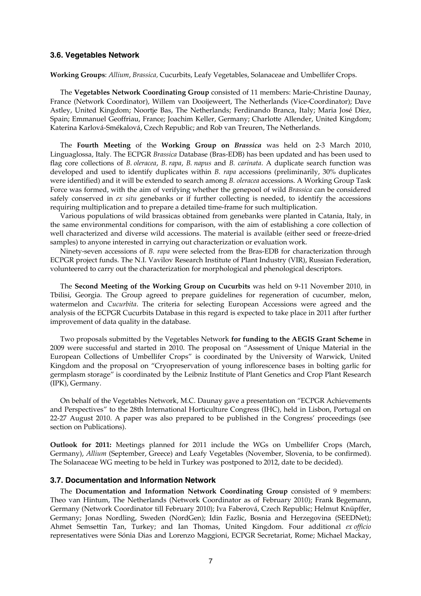#### **3.6. Vegetables Network**

**Working Groups**: *Allium*, *Brassica,* Cucurbits, Leafy Vegetables, Solanaceae and Umbellifer Crops.

 The **Vegetables Network Coordinating Group** consisted of 11 members: Marie-Christine Daunay, France (Network Coordinator), Willem van Dooijeweert, The Netherlands (Vice-Coordinator); Dave Astley, United Kingdom; Noortje Bas, The Netherlands; Ferdinando Branca, Italy; Maria José Díez, Spain; Emmanuel Geoffriau, France; Joachim Keller, Germany; Charlotte Allender, United Kingdom; Katerina Karlová-Smékalová, Czech Republic; and Rob van Treuren, The Netherlands.

 The **Fourth Meeting** of the **Working Group on** *Brassica* was held on 2-3 March 2010, Linguaglossa, Italy. The ECPGR *Brassica* Database (Bras-EDB) has been updated and has been used to flag core collections of *B. oleracea*, *B. rapa*, *B. napus* and *B. carinata*. A duplicate search function was developed and used to identify duplicates within *B. rapa* accessions (preliminarily, 30% duplicates were identified) and it will be extended to search among *B. oleracea* accessions. A Working Group Task Force was formed, with the aim of verifying whether the genepool of wild *Brassica* can be considered safely conserved in *ex situ* genebanks or if further collecting is needed, to identify the accessions requiring multiplication and to prepare a detailed time-frame for such multiplication.

 Various populations of wild brassicas obtained from genebanks were planted in Catania, Italy, in the same environmental conditions for comparison, with the aim of establishing a core collection of well characterized and diverse wild accessions. The material is available (either seed or freeze-dried samples) to anyone interested in carrying out characterization or evaluation work.

Ninety-seven accessions of *B. rapa* were selected from the Bras-EDB for characterization through ECPGR project funds. The N.I. Vavilov Research Institute of Plant Industry (VIR), Russian Federation, volunteered to carry out the characterization for morphological and phenological descriptors.

 The **Second Meeting of the Working Group on Cucurbits** was held on 9-11 November 2010, in Tbilisi, Georgia. The Group agreed to prepare guidelines for regeneration of cucumber, melon, watermelon and *Cucurbita*. The criteria for selecting European Accessions were agreed and the analysis of the ECPGR Cucurbits Database in this regard is expected to take place in 2011 after further improvement of data quality in the database.

 Two proposals submitted by the Vegetables Network **for funding to the AEGIS Grant Scheme** in 2009 were successful and started in 2010. The proposal on "Assessment of Unique Material in the European Collections of Umbellifer Crops" is coordinated by the University of Warwick, United Kingdom and the proposal on "Cryopreservation of young inflorescence bases in bolting garlic for germplasm storage" is coordinated by the Leibniz Institute of Plant Genetics and Crop Plant Research (IPK), Germany.

 On behalf of the Vegetables Network, M.C. Daunay gave a presentation on "ECPGR Achievements and Perspectives" to the 28th International Horticulture Congress (IHC), held in Lisbon, Portugal on 22-27 August 2010. A paper was also prepared to be published in the Congress' proceedings (see section on Publications).

**Outlook for 2011:** Meetings planned for 2011 include the WGs on Umbellifer Crops (March, Germany), *Allium* (September, Greece) and Leafy Vegetables (November, Slovenia, to be confirmed). The Solanaceae WG meeting to be held in Turkey was postponed to 2012, date to be decided).

#### **3.7. Documentation and Information Network**

 The **Documentation and Information Network Coordinating Group** consisted of 9 members: Theo van Hintum, The Netherlands (Network Coordinator as of February 2010); Frank Begemann, Germany (Network Coordinator till February 2010); Iva Faberová, Czech Republic; Helmut Knüpffer, Germany; Jonas Nordling, Sweden (NordGen); Idin Fazlic, Bosnia and Herzegovina (SEEDNet); Ahmet Semsettin Tan, Turkey; and Ian Thomas, United Kingdom. Four additional *ex officio* representatives were Sónia Dias and Lorenzo Maggioni, ECPGR Secretariat, Rome; Michael Mackay,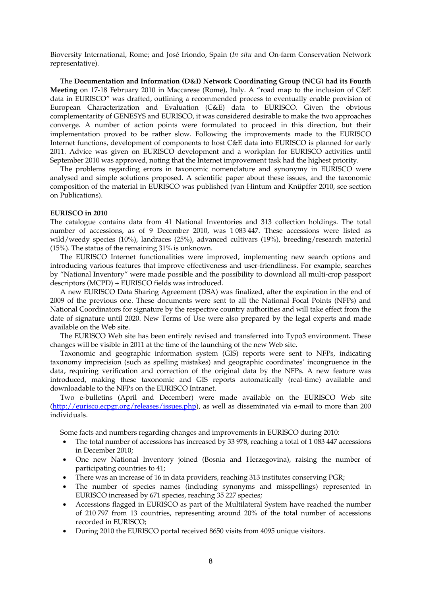Bioversity International, Rome; and José Iriondo, Spain (*In situ* and On-farm Conservation Network representative).

The **Documentation and Information (D&I) Network Coordinating Group (NCG) had its Fourth Meeting** on 17-18 February 2010 in Maccarese (Rome), Italy. A "road map to the inclusion of C&E data in EURISCO" was drafted, outlining a recommended process to eventually enable provision of European Characterization and Evaluation (C&E) data to EURISCO. Given the obvious complementarity of GENESYS and EURISCO, it was considered desirable to make the two approaches converge. A number of action points were formulated to proceed in this direction, but their implementation proved to be rather slow. Following the improvements made to the EURISCO Internet functions, development of components to host C&E data into EURISCO is planned for early 2011. Advice was given on EURISCO development and a workplan for EURISCO activities until September 2010 was approved, noting that the Internet improvement task had the highest priority.

 The problems regarding errors in taxonomic nomenclature and synonymy in EURISCO were analysed and simple solutions proposed. A scientific paper about these issues, and the taxonomic composition of the material in EURISCO was published (van Hintum and Knüpffer 2010, see section on Publications).

#### **EURISCO in 2010**

The catalogue contains data from 41 National Inventories and 313 collection holdings. The total number of accessions, as of 9 December 2010, was 1 083 447. These accessions were listed as wild/weedy species (10%), landraces (25%), advanced cultivars (19%), breeding/research material (15%). The status of the remaining 31% is unknown.

 The EURISCO Internet functionalities were improved, implementing new search options and introducing various features that improve effectiveness and user-friendliness. For example, searches by "National Inventory" were made possible and the possibility to download all multi-crop passport descriptors (MCPD) + EURISCO fields was introduced.

A new EURISCO Data Sharing Agreement (DSA) was finalized, after the expiration in the end of 2009 of the previous one. These documents were sent to all the National Focal Points (NFPs) and National Coordinators for signature by the respective country authorities and will take effect from the date of signature until 2020. New Terms of Use were also prepared by the legal experts and made available on the Web site.

The EURISCO Web site has been entirely revised and transferred into Typo3 environment. These changes will be visible in 2011 at the time of the launching of the new Web site.

Taxonomic and geographic information system (GIS) reports were sent to NFPs, indicating taxonomy imprecision (such as spelling mistakes) and geographic coordinates' incongruence in the data, requiring verification and correction of the original data by the NFPs. A new feature was introduced, making these taxonomic and GIS reports automatically (real-time) available and downloadable to the NFPs on the EURISCO Intranet.

 Two e-bulletins (April and December) were made available on the EURISCO Web site (http://eurisco.ecpgr.org/releases/issues.php), as well as disseminated via e-mail to more than 200 individuals.

Some facts and numbers regarding changes and improvements in EURISCO during 2010:

- The total number of accessions has increased by 33 978, reaching a total of 1 083 447 accessions in December 2010;
- One new National Inventory joined (Bosnia and Herzegovina), raising the number of participating countries to 41;
- There was an increase of 16 in data providers, reaching 313 institutes conserving PGR;
- The number of species names (including synonyms and misspellings) represented in EURISCO increased by 671 species, reaching 35 227 species;
- Accessions flagged in EURISCO as part of the Multilateral System have reached the number of 210 797 from 13 countries, representing around 20% of the total number of accessions recorded in EURISCO;
- During 2010 the EURISCO portal received 8650 visits from 4095 unique visitors.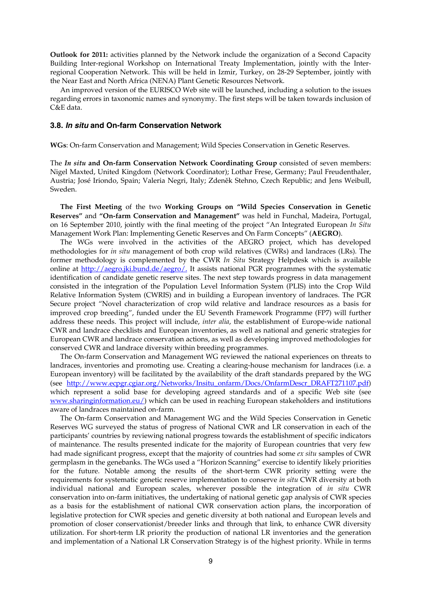**Outlook for 2011:** activities planned by the Network include the organization of a Second Capacity Building Inter-regional Workshop on International Treaty Implementation, jointly with the Interregional Cooperation Network. This will be held in Izmir, Turkey, on 28-29 September, jointly with the Near East and North Africa (NENA) Plant Genetic Resources Network.

 An improved version of the EURISCO Web site will be launched, including a solution to the issues regarding errors in taxonomic names and synonymy. The first steps will be taken towards inclusion of C&E data.

#### **3.8.** *In situ* **and On-farm Conservation Network**

**WGs**: On-farm Conservation and Management; Wild Species Conservation in Genetic Reserves.

The *In situ* **and On-farm Conservation Network Coordinating Group** consisted of seven members: Nigel Maxted, United Kingdom (Network Coordinator); Lothar Frese, Germany; Paul Freudenthaler, Austria; José Iriondo, Spain; Valeria Negri, Italy; Zdeněk Stehno, Czech Republic; and Jens Weibull, Sweden.

 **The First Meeting** of the two **Working Groups on "Wild Species Conservation in Genetic Reserves"** and **"On-farm Conservation and Management"** was held in Funchal, Madeira, Portugal, on 16 September 2010, jointly with the final meeting of the project "An Integrated European *In Situ* Management Work Plan: Implementing Genetic Reserves and On Farm Concepts" (**AEGRO**).

The WGs were involved in the activities of the AEGRO project, which has developed methodologies for *in situ* management of both crop wild relatives (CWRs) and landraces (LRs). The former methodology is complemented by the CWR *In Situ* Strategy Helpdesk which is available online at http://aegro.jki.bund.de/aegro/. It assists national PGR programmes with the systematic identification of candidate genetic reserve sites. The next step towards progress in data management consisted in the integration of the Population Level Information System (PLIS) into the Crop Wild Relative Information System (CWRIS) and in building a European inventory of landraces. The PGR Secure project "Novel characterization of crop wild relative and landrace resources as a basis for improved crop breeding", funded under the EU Seventh Framework Programme (FP7) will further address these needs. This project will include, *inter alia*, the establishment of Europe-wide national CWR and landrace checklists and European inventories, as well as national and generic strategies for European CWR and landrace conservation actions, as well as developing improved methodologies for conserved CWR and landrace diversity within breeding programmes.

The On-farm Conservation and Management WG reviewed the national experiences on threats to landraces, inventories and promoting use. Creating a clearing-house mechanism for landraces (i.e. a European inventory) will be facilitated by the availability of the draft standards prepared by the WG (see http://www.ecpgr.cgiar.org/Networks/Insitu\_onfarm/Docs/OnfarmDescr\_DRAFT271107.pdf) which represent a solid base for developing agreed standards and of a specific Web site (see www.sharinginformation.eu/) which can be used in reaching European stakeholders and institutions aware of landraces maintained on-farm.

 The On-farm Conservation and Management WG and the Wild Species Conservation in Genetic Reserves WG surveyed the status of progress of National CWR and LR conservation in each of the participants' countries by reviewing national progress towards the establishment of specific indicators of maintenance. The results presented indicate for the majority of European countries that very few had made significant progress, except that the majority of countries had some *ex situ* samples of CWR germplasm in the genebanks. The WGs used a "Horizon Scanning" exercise to identify likely priorities for the future. Notable among the results of the short-term CWR priority setting were the requirements for systematic genetic reserve implementation to conserve *in situ* CWR diversity at both individual national and European scales, wherever possible the integration of *in situ* CWR conservation into on-farm initiatives, the undertaking of national genetic gap analysis of CWR species as a basis for the establishment of national CWR conservation action plans, the incorporation of legislative protection for CWR species and genetic diversity at both national and European levels and promotion of closer conservationist/breeder links and through that link, to enhance CWR diversity utilization. For short-term LR priority the production of national LR inventories and the generation and implementation of a National LR Conservation Strategy is of the highest priority. While in terms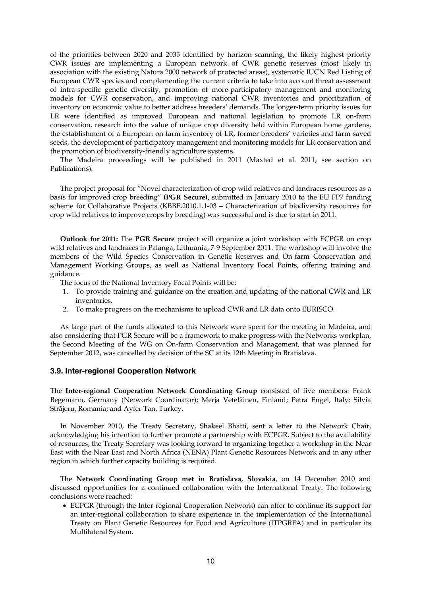of the priorities between 2020 and 2035 identified by horizon scanning, the likely highest priority CWR issues are implementing a European network of CWR genetic reserves (most likely in association with the existing Natura 2000 network of protected areas), systematic IUCN Red Listing of European CWR species and complementing the current criteria to take into account threat assessment of intra-specific genetic diversity, promotion of more-participatory management and monitoring models for CWR conservation, and improving national CWR inventories and prioritization of inventory on economic value to better address breeders' demands. The longer-term priority issues for LR were identified as improved European and national legislation to promote LR on-farm conservation, research into the value of unique crop diversity held within European home gardens, the establishment of a European on-farm inventory of LR, former breeders' varieties and farm saved seeds, the development of participatory management and monitoring models for LR conservation and the promotion of biodiversity-friendly agriculture systems.

The Madeira proceedings will be published in 2011 (Maxted et al. 2011, see section on Publications).

 The project proposal for "Novel characterization of crop wild relatives and landraces resources as a basis for improved crop breeding" **(PGR Secure)**, submitted in January 2010 to the EU FP7 funding scheme for Collaborative Projects (KBBE.2010.1.1-03 – Characterization of biodiversity resources for crop wild relatives to improve crops by breeding) was successful and is due to start in 2011.

 **Outlook for 2011:** The **PGR Secure** project will organize a joint workshop with ECPGR on crop wild relatives and landraces in Palanga, Lithuania, 7-9 September 2011. The workshop will involve the members of the Wild Species Conservation in Genetic Reserves and On-farm Conservation and Management Working Groups, as well as National Inventory Focal Points, offering training and guidance.

The focus of the National Inventory Focal Points will be:

- 1. To provide training and guidance on the creation and updating of the national CWR and LR inventories.
- 2. To make progress on the mechanisms to upload CWR and LR data onto EURISCO.

 As large part of the funds allocated to this Network were spent for the meeting in Madeira, and also considering that PGR Secure will be a framework to make progress with the Networks workplan, the Second Meeting of the WG on On-farm Conservation and Management, that was planned for September 2012, was cancelled by decision of the SC at its 12th Meeting in Bratislava.

#### **3.9. Inter-regional Cooperation Network**

The **Inter-regional Cooperation Network Coordinating Group** consisted of five members: Frank Begemann, Germany (Network Coordinator); Merja Veteläinen, Finland; Petra Engel, Italy; Silvia Strãjeru, Romania; and Ayfer Tan, Turkey.

 In November 2010, the Treaty Secretary, Shakeel Bhatti, sent a letter to the Network Chair, acknowledging his intention to further promote a partnership with ECPGR. Subject to the availability of resources, the Treaty Secretary was looking forward to organizing together a workshop in the Near East with the Near East and North Africa (NENA) Plant Genetic Resources Network and in any other region in which further capacity building is required.

 The **Network Coordinating Group met in Bratislava, Slovakia**, on 14 December 2010 and discussed opportunities for a continued collaboration with the International Treaty. The following conclusions were reached:

• ECPGR (through the Inter-regional Cooperation Network) can offer to continue its support for an inter-regional collaboration to share experience in the implementation of the International Treaty on Plant Genetic Resources for Food and Agriculture (ITPGRFA) and in particular its Multilateral System.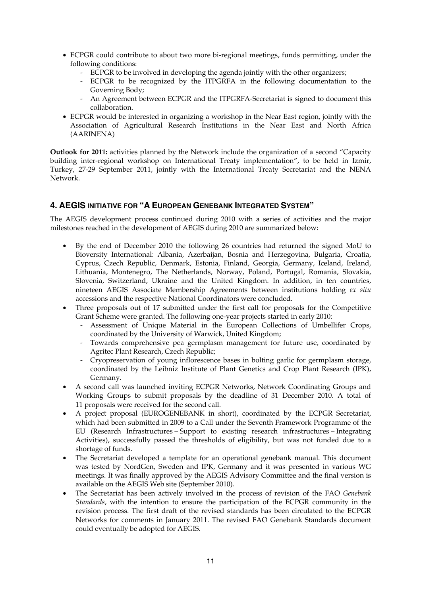- ECPGR could contribute to about two more bi-regional meetings, funds permitting, under the following conditions:
	- ECPGR to be involved in developing the agenda jointly with the other organizers;
	- ECPGR to be recognized by the ITPGRFA in the following documentation to the Governing Body;
	- An Agreement between ECPGR and the ITPGRFA-Secretariat is signed to document this collaboration.
- ECPGR would be interested in organizing a workshop in the Near East region, jointly with the Association of Agricultural Research Institutions in the Near East and North Africa (AARINENA)

**Outlook for 2011:** activities planned by the Network include the organization of a second "Capacity" building inter-regional workshop on International Treaty implementation", to be held in Izmir, Turkey, 27-29 September 2011, jointly with the International Treaty Secretariat and the NENA Network.

# **4. AEGIS INITIATIVE FOR "A EUROPEAN GENEBANK INTEGRATED SYSTEM"**

The AEGIS development process continued during 2010 with a series of activities and the major milestones reached in the development of AEGIS during 2010 are summarized below:

- By the end of December 2010 the following 26 countries had returned the signed MoU to Bioversity International: Albania, Azerbaijan, Bosnia and Herzegovina, Bulgaria, Croatia, Cyprus, Czech Republic, Denmark, Estonia, Finland, Georgia, Germany, Iceland, Ireland, Lithuania, Montenegro, The Netherlands, Norway, Poland, Portugal, Romania, Slovakia, Slovenia, Switzerland, Ukraine and the United Kingdom. In addition, in ten countries, nineteen AEGIS Associate Membership Agreements between institutions holding *ex situ*  accessions and the respective National Coordinators were concluded.
- Three proposals out of 17 submitted under the first call for proposals for the Competitive Grant Scheme were granted. The following one-year projects started in early 2010:
	- Assessment of Unique Material in the European Collections of Umbellifer Crops, coordinated by the University of Warwick, United Kingdom;
	- Towards comprehensive pea germplasm management for future use, coordinated by Agritec Plant Research, Czech Republic;
	- Cryopreservation of young inflorescence bases in bolting garlic for germplasm storage, coordinated by the Leibniz Institute of Plant Genetics and Crop Plant Research (IPK), Germany.
- A second call was launched inviting ECPGR Networks, Network Coordinating Groups and Working Groups to submit proposals by the deadline of 31 December 2010. A total of 11 proposals were received for the second call.
- A project proposal (EUROGENEBANK in short), coordinated by the ECPGR Secretariat, which had been submitted in 2009 to a Call under the Seventh Framework Programme of the EU (Research Infrastructures – Support to existing research infrastructures – Integrating Activities), successfully passed the thresholds of eligibility, but was not funded due to a shortage of funds.
- The Secretariat developed a template for an operational genebank manual. This document was tested by NordGen, Sweden and IPK, Germany and it was presented in various WG meetings. It was finally approved by the AEGIS Advisory Committee and the final version is available on the AEGIS Web site (September 2010).
- The Secretariat has been actively involved in the process of revision of the FAO *Genebank Standards*, with the intention to ensure the participation of the ECPGR community in the revision process. The first draft of the revised standards has been circulated to the ECPGR Networks for comments in January 2011. The revised FAO Genebank Standards document could eventually be adopted for AEGIS.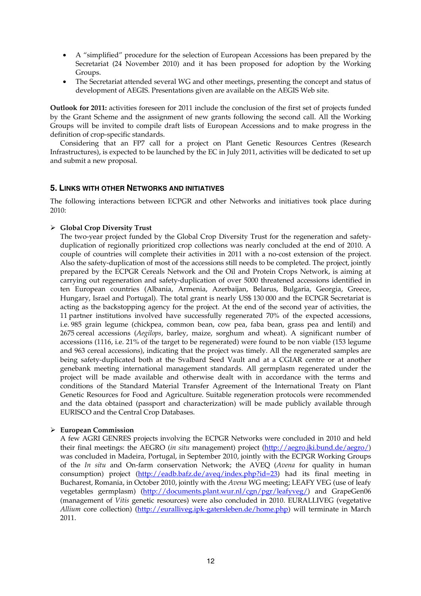- A "simplified" procedure for the selection of European Accessions has been prepared by the Secretariat (24 November 2010) and it has been proposed for adoption by the Working Groups.
- The Secretariat attended several WG and other meetings, presenting the concept and status of development of AEGIS. Presentations given are available on the AEGIS Web site.

**Outlook for 2011:** activities foreseen for 2011 include the conclusion of the first set of projects funded by the Grant Scheme and the assignment of new grants following the second call. All the Working Groups will be invited to compile draft lists of European Accessions and to make progress in the definition of crop-specific standards.

 Considering that an FP7 call for a project on Plant Genetic Resources Centres (Research Infrastructures), is expected to be launched by the EC in July 2011, activities will be dedicated to set up and submit a new proposal.

## **5. LINKS WITH OTHER NETWORKS AND INITIATIVES**

The following interactions between ECPGR and other Networks and initiatives took place during 2010:

## ¾ **Global Crop Diversity Trust**

The two-year project funded by the Global Crop Diversity Trust for the regeneration and safetyduplication of regionally prioritized crop collections was nearly concluded at the end of 2010. A couple of countries will complete their activities in 2011 with a no-cost extension of the project. Also the safety-duplication of most of the accessions still needs to be completed. The project, jointly prepared by the ECPGR Cereals Network and the Oil and Protein Crops Network, is aiming at carrying out regeneration and safety-duplication of over 5000 threatened accessions identified in ten European countries (Albania, Armenia, Azerbaijan, Belarus, Bulgaria, Georgia, Greece, Hungary, Israel and Portugal). The total grant is nearly US\$ 130 000 and the ECPGR Secretariat is acting as the backstopping agency for the project. At the end of the second year of activities, the 11 partner institutions involved have successfully regenerated 70% of the expected accessions, i.e. 985 grain legume (chickpea, common bean, cow pea, faba bean, grass pea and lentil) and 2675 cereal accessions (*Aegilops*, barley, maize, sorghum and wheat). A significant number of accessions (1116, i.e. 21% of the target to be regenerated) were found to be non viable (153 legume and 963 cereal accessions), indicating that the project was timely. All the regenerated samples are being safety-duplicated both at the Svalbard Seed Vault and at a CGIAR centre or at another genebank meeting international management standards. All germplasm regenerated under the project will be made available and otherwise dealt with in accordance with the terms and conditions of the Standard Material Transfer Agreement of the International Treaty on Plant Genetic Resources for Food and Agriculture. Suitable regeneration protocols were recommended and the data obtained (passport and characterization) will be made publicly available through EURISCO and the Central Crop Databases.

## ¾ **European Commission**

A few AGRI GENRES projects involving the ECPGR Networks were concluded in 2010 and held their final meetings: the AEGRO (*in situ* management) project (http://aegro.jki.bund.de/aegro/) was concluded in Madeira, Portugal, in September 2010, jointly with the ECPGR Working Groups of the *In situ* and On-farm conservation Network; the AVEQ (*Avena* for quality in human consumption) project (http://eadb.bafz.de/aveq/index.php?id=23) had its final meeting in Bucharest, Romania, in October 2010, jointly with the *Avena* WG meeting; LEAFY VEG (use of leafy vegetables germplasm) (http://documents.plant.wur.nl/cgn/pgr/leafyveg/) and GrapeGen06 (management of *Vitis* genetic resources) were also concluded in 2010. EURALLIVEG (vegetative *Allium* core collection) (http://euralliveg.ipk-gatersleben.de/home.php) will terminate in March 2011.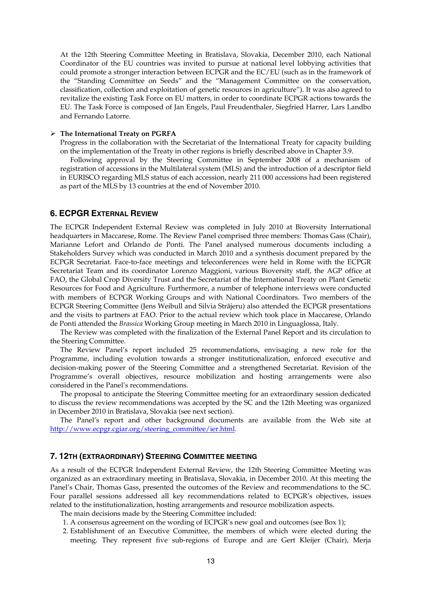At the 12th Steering Committee Meeting in Bratislava, Slovakia, December 2010, each National Coordinator of the EU countries was invited to pursue at national level lobbying activities that could promote a stronger interaction between ECPGR and the EC/EU (such as in the framework of the "Standing Committee on Seeds" and the "Management Committee on the conservation, classification, collection and exploitation of genetic resources in agriculture"). It was also agreed to revitalize the existing Task Force on EU matters, in order to coordinate ECPGR actions towards the EU. The Task Force is composed of Jan Engels, Paul Freudenthaler, Siegfried Harrer, Lars Landbo and Fernando Latorre.

#### ¾ **The International Treaty on PGRFA**

Progress in the collaboration with the Secretariat of the International Treaty for capacity building on the implementation of the Treaty in other regions is briefly described above in Chapter 3.9.

 Following approval by the Steering Committee in September 2008 of a mechanism of registration of accessions in the Multilateral system (MLS) and the introduction of a descriptor field in EURISCO regarding MLS status of each accession, nearly 211 000 accessions had been registered as part of the MLS by 13 countries at the end of November 2010.

## **6. ECPGR EXTERNAL REVIEW**

The ECPGR Independent External Review was completed in July 2010 at Bioversity International headquarters in Maccarese, Rome. The Review Panel comprised three members: Thomas Gass (Chair), Marianne Lefort and Orlando de Ponti. The Panel analysed numerous documents including a Stakeholders Survey which was conducted in March 2010 and a synthesis document prepared by the ECPGR Secretariat. Face-to-face meetings and teleconferences were held in Rome with the ECPGR Secretariat Team and its coordinator Lorenzo Maggioni, various Bioversity staff, the AGP office at FAO, the Global Crop Diversity Trust and the Secretariat of the International Treaty on Plant Genetic Resources for Food and Agriculture. Furthermore, a number of telephone interviews were conducted with members of ECPGR Working Groups and with National Coordinators. Two members of the ECPGR Steering Committee (Jens Weibull and Silvia Strãjeru) also attended the ECPGR presentations and the visits to partners at FAO. Prior to the actual review which took place in Maccarese, Orlando de Ponti attended the *Brassica* Working Group meeting in March 2010 in Linguaglossa, Italy.

 The Review was completed with the finalization of the External Panel Report and its circulation to the Steering Committee.

 The Review Panel's report included 25 recommendations, envisaging a new role for the Programme, including evolution towards a stronger institutionalization, enforced executive and decision-making power of the Steering Committee and a strengthened Secretariat. Revision of the Programme's overall objectives, resource mobilization and hosting arrangements were also considered in the Panel's recommendations.

 The proposal to anticipate the Steering Committee meeting for an extraordinary session dedicated to discuss the review recommendations was accepted by the SC and the 12th Meeting was organized in December 2010 in Bratislava, Slovakia (see next section).

 The Panel's report and other background documents are available from the Web site at http://www.ecpgr.cgiar.org/steering\_committee/ier.html.

#### **7. 12TH (EXTRAORDINARY) STEERING COMMITTEE MEETING**

As a result of the ECPGR Independent External Review, the 12th Steering Committee Meeting was organized as an extraordinary meeting in Bratislava, Slovakia, in December 2010. At this meeting the Panel's Chair, Thomas Gass, presented the outcomes of the Review and recommendations to the SC. Four parallel sessions addressed all key recommendations related to ECPGR's objectives, issues related to the institutionalization, hosting arrangements and resource mobilization aspects.

The main decisions made by the Steering Committee included:

- 1. A consensus agreement on the wording of ECPGR's new goal and outcomes (see Box 1);
- 2. Establishment of an Executive Committee, the members of which were elected during the meeting. They represent five sub-regions of Europe and are Gert Kleijer (Chair), Merja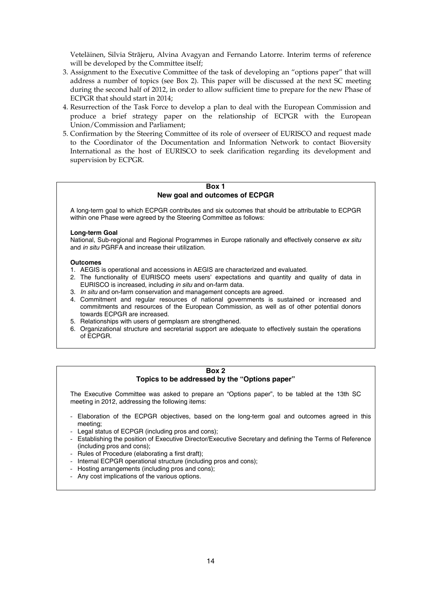Veteläinen, Silvia Strãjeru, Alvina Avagyan and Fernando Latorre. Interim terms of reference will be developed by the Committee itself;

- 3. Assignment to the Executive Committee of the task of developing an "options paper" that will address a number of topics (see Box 2). This paper will be discussed at the next SC meeting during the second half of 2012, in order to allow sufficient time to prepare for the new Phase of ECPGR that should start in 2014;
- 4. Resurrection of the Task Force to develop a plan to deal with the European Commission and produce a brief strategy paper on the relationship of ECPGR with the European Union/Commission and Parliament;
- 5. Confirmation by the Steering Committee of its role of overseer of EURISCO and request made to the Coordinator of the Documentation and Information Network to contact Bioversity International as the host of EURISCO to seek clarification regarding its development and supervision by ECPGR.

#### **Box 1 New goal and outcomes of ECPGR**

A long-term goal to which ECPGR contributes and six outcomes that should be attributable to ECPGR within one Phase were agreed by the Steering Committee as follows:

#### **Long-term Goal**

National, Sub-regional and Regional Programmes in Europe rationally and effectively conserve *ex situ* and *in situ* PGRFA and increase their utilization.

#### **Outcomes**

- 1. AEGIS is operational and accessions in AEGIS are characterized and evaluated.
- 2. The functionality of EURISCO meets users' expectations and quantity and quality of data in EURISCO is increased, including *in situ* and on-farm data.
- 3. *In situ* and on-farm conservation and management concepts are agreed.
- 4. Commitment and regular resources of national governments is sustained or increased and commitments and resources of the European Commission, as well as of other potential donors towards ECPGR are increased.
- 5. Relationships with users of germplasm are strengthened.
- 6. Organizational structure and secretarial support are adequate to effectively sustain the operations of ECPGR.

#### **Box 2**

## **Topics to be addressed by the "Options paper"**

The Executive Committee was asked to prepare an "Options paper", to be tabled at the 13th SC meeting in 2012, addressing the following items:

- Elaboration of the ECPGR objectives, based on the long-term goal and outcomes agreed in this meeting;
- Legal status of ECPGR (including pros and cons);
- Establishing the position of Executive Director/Executive Secretary and defining the Terms of Reference (including pros and cons);
- Rules of Procedure (elaborating a first draft);
- Internal ECPGR operational structure (including pros and cons);
- Hosting arrangements (including pros and cons);
- Any cost implications of the various options.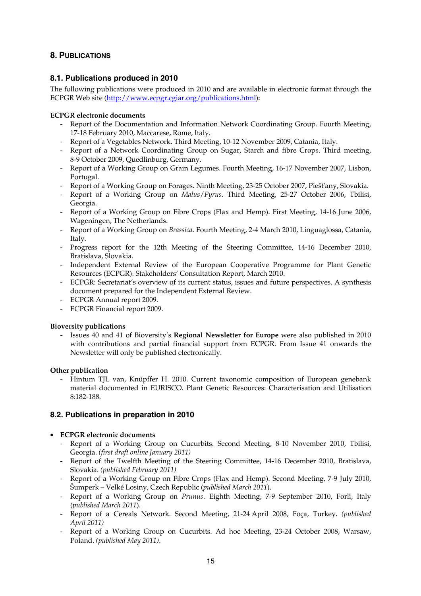# **8. PUBLICATIONS**

# **8.1. Publications produced in 2010**

The following publications were produced in 2010 and are available in electronic format through the ECPGR Web site (http://www.ecpgr.cgiar.org/publications.html):

## **ECPGR electronic documents**

- Report of the Documentation and Information Network Coordinating Group. Fourth Meeting, 17-18 February 2010, Maccarese, Rome, Italy.
- Report of a Vegetables Network. Third Meeting, 10-12 November 2009, Catania, Italy.
- Report of a Network Coordinating Group on Sugar, Starch and fibre Crops. Third meeting, 8-9 October 2009, Quedlinburg, Germany.
- Report of a Working Group on Grain Legumes. Fourth Meeting, 16-17 November 2007, Lisbon, Portugal.
- Report of a Working Group on Forages. Ninth Meeting, 23-25 October 2007, Piešt'any, Slovakia.
- Report of a Working Group on *Malus*/*Pyrus*. Third Meeting, 25-27 October 2006, Tbilisi, Georgia.
- Report of a Working Group on Fibre Crops (Flax and Hemp). First Meeting, 14-16 June 2006, Wageningen, The Netherlands.
- Report of a Working Group on *Brassica*. Fourth Meeting, 2-4 March 2010, Linguaglossa, Catania, Italy.
- Progress report for the 12th Meeting of the Steering Committee, 14-16 December 2010, Bratislava, Slovakia.
- Independent External Review of the European Cooperative Programme for Plant Genetic Resources (ECPGR). Stakeholders' Consultation Report, March 2010.
- ECPGR: Secretariat's overview of its current status, issues and future perspectives. A synthesis document prepared for the Independent External Review.
- ECPGR Annual report 2009.
- ECPGR Financial report 2009.

## **Bioversity publications**

- Issues 40 and 41 of Bioversity's **Regional Newsletter for Europe** were also published in 2010 with contributions and partial financial support from ECPGR. From Issue 41 onwards the Newsletter will only be published electronically.

## **Other publication**

- Hintum TJL van, Knüpffer H. 2010. Current taxonomic composition of European genebank material documented in EURISCO. Plant Genetic Resources: Characterisation and Utilisation 8:182-188.

# **8.2. Publications in preparation in 2010**

## • **ECPGR electronic documents**

- Report of a Working Group on Cucurbits. Second Meeting, 8-10 November 2010, Tbilisi, Georgia. *(first draft online January 2011)*
- Report of the Twelfth Meeting of the Steering Committee, 14-16 December 2010, Bratislava, Slovakia. *(published February 2011)*
- Report of a Working Group on Fibre Crops (Flax and Hemp). Second Meeting, 7-9 July 2010, Šumperk – Velké Losiny, Czech Republic (*published March 2011*).
- Report of a Working Group on *Prunus*. Eighth Meeting, 7-9 September 2010, Forlì, Italy (*published March 2011*).
- Report of a Cereals Network. Second Meeting, 21-24 April 2008, Foça, Turkey. *(published April 2011)*
- Report of a Working Group on Cucurbits. Ad hoc Meeting, 23-24 October 2008, Warsaw, Poland. *(published May 2011)*.